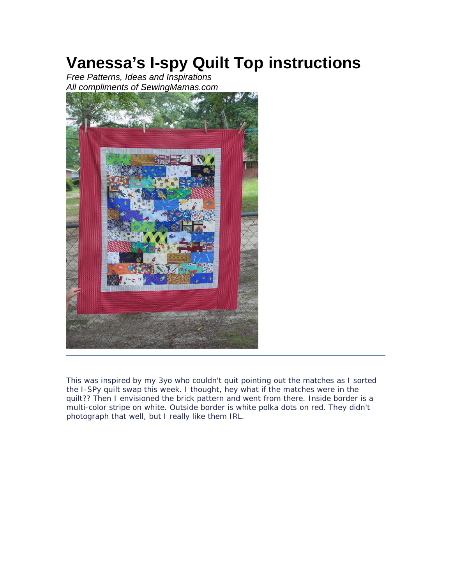## **Vanessa's I-spy Quilt Top instructions**

*Free Patterns, Ideas and Inspirations All compliments of SewingMamas.com*



This was inspired by my 3yo who couldn't quit pointing out the matches as I sorted the I-SPy quilt swap this week. I thought, hey what if the matches were in the quilt?? Then I envisioned the brick pattern and went from there. Inside border is a multi-color stripe on white. Outside border is white polka dots on red. They didn't photograph that well, but I really like them IRL.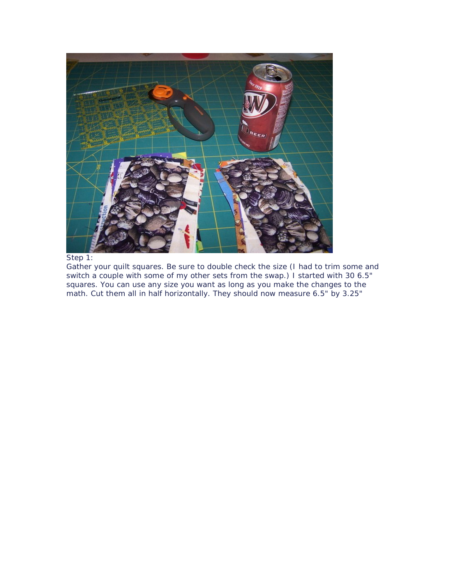

## Step 1:

Gather your quilt squares. Be sure to double check the size (I had to trim some and switch a couple with some of my other sets from the swap.) I started with 30 6.5" squares. You can use any size you want as long as you make the changes to the math. Cut them all in half horizontally. They should now measure 6.5" by 3.25"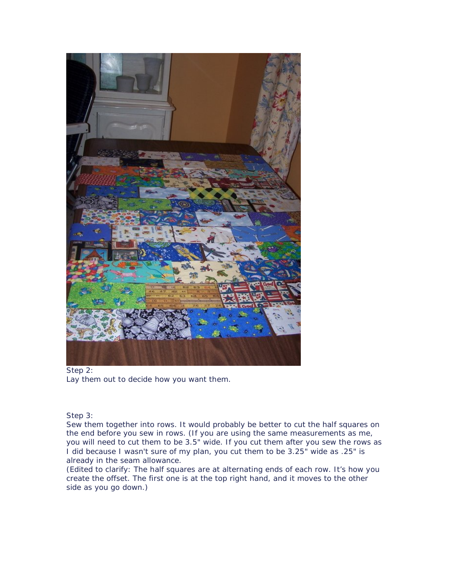

Step 2: Lay them out to decide how you want them.

Step 3:

Sew them together into rows. It would probably be better to cut the half squares on the end before you sew in rows. (If you are using the same measurements as me, you will need to cut them to be 3.5" wide. If you cut them after you sew the rows as I did because I wasn't sure of my plan, you cut them to be 3.25" wide as .25" is already in the seam allowance.

(Edited to clarify: The half squares are at alternating ends of each row. It's how you create the offset. The first one is at the top right hand, and it moves to the other side as you go down.)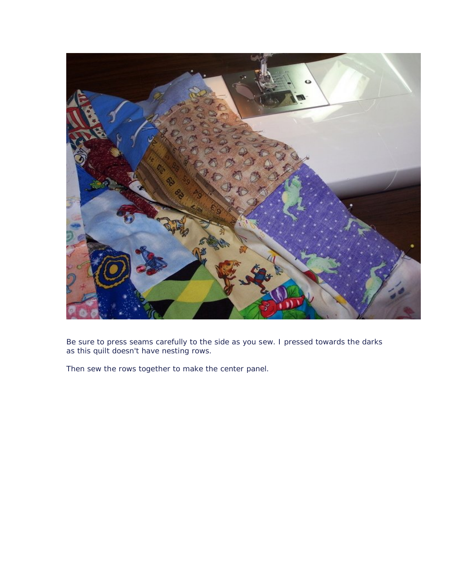

Be sure to press seams carefully to the side as you sew. I pressed towards the darks as this quilt doesn't have nesting rows.

Then sew the rows together to make the center panel.